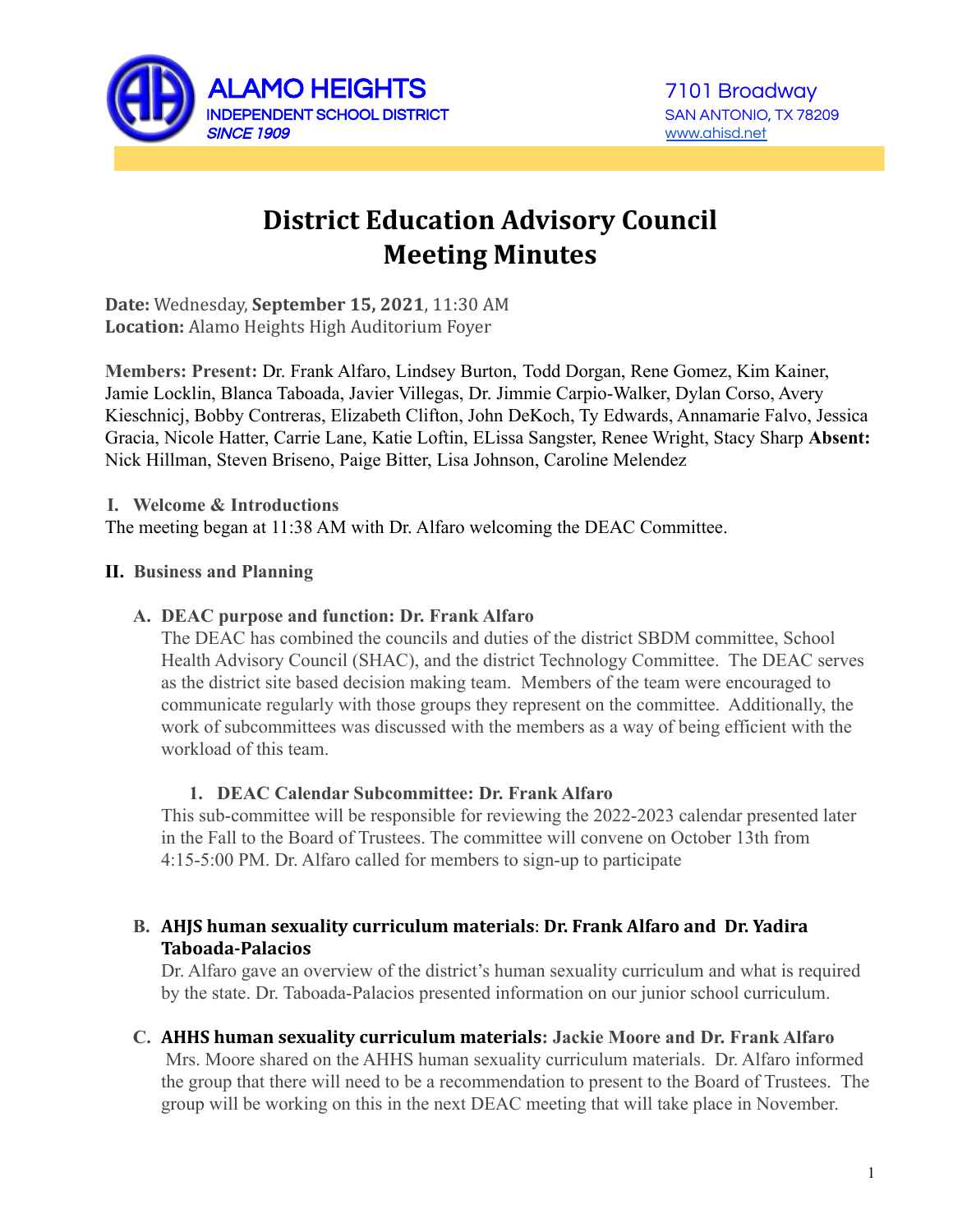

# **District Education Advisory Council Meeting Minutes**

**Date:** Wednesday, **September 15, 2021**, 11:30 AM **Location:** Alamo Heights High Auditorium Foyer

**Members: Present:** Dr. Frank Alfaro, Lindsey Burton, Todd Dorgan, Rene Gomez, Kim Kainer, Jamie Locklin, Blanca Taboada, Javier Villegas, Dr. Jimmie Carpio-Walker, Dylan Corso, Avery Kieschnicj, Bobby Contreras, Elizabeth Clifton, John DeKoch, Ty Edwards, Annamarie Falvo, Jessica Gracia, Nicole Hatter, Carrie Lane, Katie Loftin, ELissa Sangster, Renee Wright, Stacy Sharp **Absent:** Nick Hillman, Steven Briseno, Paige Bitter, Lisa Johnson, Caroline Melendez

**I. Welcome & Introductions**

The meeting began at 11:38 AM with Dr. Alfaro welcoming the DEAC Committee.

#### **II. Business and Planning**

#### **A. DEAC purpose and function: Dr. Frank Alfaro**

The DEAC has combined the councils and duties of the district SBDM committee, School Health Advisory Council (SHAC), and the district Technology Committee. The DEAC serves as the district site based decision making team. Members of the team were encouraged to communicate regularly with those groups they represent on the committee. Additionally, the work of subcommittees was discussed with the members as a way of being efficient with the workload of this team.

#### **1. DEAC Calendar Subcommittee: Dr. Frank Alfaro**

This sub-committee will be responsible for reviewing the 2022-2023 calendar presented later in the Fall to the Board of Trustees. The committee will convene on October 13th from 4:15-5:00 PM. Dr. Alfaro called for members to sign-up to participate

## **B. AHJS human sexuality curriculum materials**: **Dr. Frank Alfaro and Dr. Yadira Taboada-Palacios**

Dr. Alfaro gave an overview of the district's human sexuality curriculum and what is required by the state. Dr. Taboada-Palacios presented information on our junior school curriculum.

## **C. AHHS human sexuality curriculum materials: Jackie Moore and Dr. Frank Alfaro**

Mrs. Moore shared on the AHHS human sexuality curriculum materials. Dr. Alfaro informed the group that there will need to be a recommendation to present to the Board of Trustees. The group will be working on this in the next DEAC meeting that will take place in November.